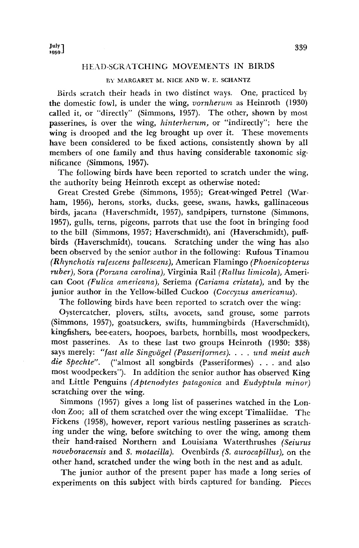## **HEAD-SCKATCHING MOVEMENTS IN BIRDS**

## BY MARGARET M. NICE AND W. E. SCHANTZ

**Birds scratch their heads in two distinct ways. One, practiced the domestic fowl, is under the wing, vornherurn as Heinroth (1930) called it, or "directly" (Simmons, 1957). The other, shown by most**  passerines, is over the wing, *hinterherum*, or "indirectly"; here the **wing is drooped and the leg brought up over it. These movements have been considered to be fixed actions, consistently shown' by all members of one family and thus having considerable taxonomic significance (Simmons, 1957).** 

**The following birds have been reported to scratch under the wing, the authority being Heinroth except as otherwise noted:** 

**Great Crested Grebe (Simmons, 1955); Great-winged Petrel (Warham, 1956), herons, storks, ducks, geese, swans, hawks, gallinaceous birds, jacana (Haverschmidt, 1957), sandpipers, turnstone (Simmons, 1957), gulls, terns, pigeons, parrots that use the foot in bringing food to the bill (Simmons, 1957; Haverschmidt), ani (Haverschmidt), puffbirds (Haverschmidt), toucans. Scratching under the wing has also been observed by the senior author in the following: Rufous Tinamou (Rhynchotis rufescens pallescens), American Flamingo (Phoenicopterus**  ruber), Sora (Porzana carolina), Virginia Rail (Rallus limicola), Ameri**can Coot (Fulica americana), Seriema (Cariarna cristata), and by the**  junior author in the Yellow-billed Cuckoo (Coccyzus americanus).

**The following birds have been reported to scratch over the wing:** 

**Oystercatcher, plovers, stilts, avocets, sand grouse, some parrots (Simmons, 1957), goatsuckers, swifts, hummingbirds (Haverschmidt), kingfishers, bee-eaters, hoopoes, barbets, hornbills, most woodpeckers, most passetines. As to these last two groups Heinroth (1930: 338)**  says merely: "fast alle Singvögel (Passeriformes). . . . und meist auch **die Spechte". ("almost all songbirds (Passeriformes) . . . and also most woodpeckers"). In addition the senior author has observed King and Little Penguins (Aptenodytes patagonica and Eudyptula minor) scratching over the wing.** 

**Simmons (1957) gives a long list of passetines watched in the London Zoo; all of them scratched over the wing except Timaliidae. The**  Fickens (1958), however, report various nestling passerines as scratch**ing under the wing, before switching to over the wing, among them their hand-raised Northern and Louisiana Waterthrushes (Seiurus**  noveboracensis and *S. motacilla*). Ovenbirds (*S. aurocapillus*), on the **other hand, scratched under the wing both in the nest and as adult.** 

**The junior author of the present paper has made a long series of experiments on this subject with birds captured for banding. Pieces**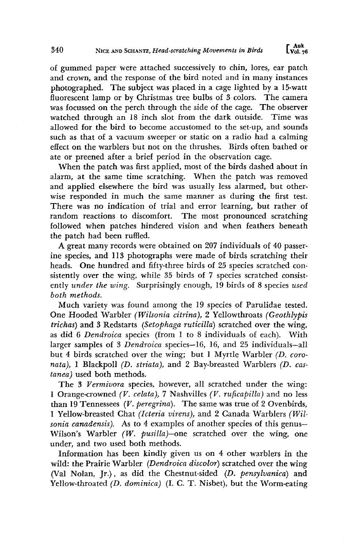**of gummed paper were attached successively tochin, lores, ear patch and crown, and the response of the bird noted and in many instances photographed. The subject was placed in a cage lighted by a 15-watt**  fluorescent lamp or by Christmas tree bulbs of 3 colors. The camera **was focussed on the perch through the side of the cage. The observer watched through an 18 inch slot from the dark outside. Time was allowed for the bird to become accustomed to the set-up, and sounds such as that of a vacuum sweeper or static on a radio had a calming effect on the warblers but not on the thrushes. Birds often bathed or ate or preened after a brief period in the observation cage.** 

**When the patch was first applied, most of the birds dashed about in alarm, at the same time scratching. When the patch was removed**  and applied elsewhere the bird was usually less alarmed, but other**wise responded in much the same manner as during the first test. There was no indication of trial and error learning, but rather of random reactions to discomfort. The most pronounced scratching followed when patches hindered vision and when feathers beneath the patch had been ruffled.** 

**A great many records were obtained on 207 individuals of 40 passerine species, and 113 photographs were made of birds scratching their heads. One hundred and fifty-three birds of 25 species scratched consistently over the wing, while 35 birds of 7 species scratched consistently under the wing. Surprisingly enough, 19 birds of 8 species used both methods.** 

**Much variety was found among the 19 species of Parulidae tested. One Hooded Warbler (Wilsonia citrina), 2 Yellowthroats (Geothlypis trichas) and 3 Redstarts (Setophaga ruticilla) scratched over the wing, as did õ Dendroica species (from 1 to 8 individuals of each). With larger samples of 3 Dendroica species--16, 16, and 25 individuals--all but 4 birds scratched over the wing; but 1 Myrtle Warbler (D. coronata), 1 Blackpoll (D. striata), and 2 Bay-breasted Warblers (D. castanea) used both methods.** 

**The 3 Vermivora species, however, all scratched under the wing: 1 Orange-crowned (V. celata), 7 Nashvilles (V. ruficapilla) and no less than 19 Tennessees (V. peregrina). The same was true of 2 Ovenbirds, 1 Yellow-breasted Chat (Icteria virens), and 2 Canada Warblers (Wilsonia canadensis). As to 4 examples of another species of this genus-Wilson's Warbler (W. pusilla)-one scratched over the wing, one under, and two used both methods.** 

**Information has been kindly given us on 4 other warblers in the wild: the Prairie Warbler (Dendroica discolor) scratched over the wing •U•al Nolan, Jr.), as did the Chestnut-sided (D. pensylvanica) and Yellow-throated (D. dominica) (I. C. T. Nisbet), but the Worm-eating**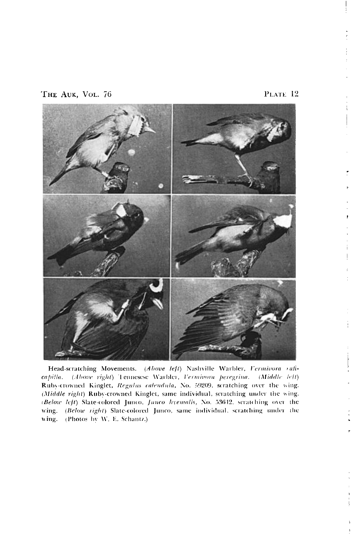**THE AUK, VOL. 76 PLATE 12** 



Head-scratching Movements. (Above left) Nashville Warbler, Vermivora rufi**capilia. (Above right) Tennesese •Varhler, Vermivora peregrina. (Middle leto**  Ruby-crowned Kinglet, Regulus calendula, No. 59209, scratching over the wing. **(Middle right) Ruby-crowned Kinglet, same individual, scratching nnder the wing. ½Below Ic[t) Slate-colored Jnnco, Junto hyemalis, No. 53642, scratching over the wing. (Below right) Slate-colored Jnnco, same individual. scratching under the wing. (Photos hy •V. E. Schantz.)**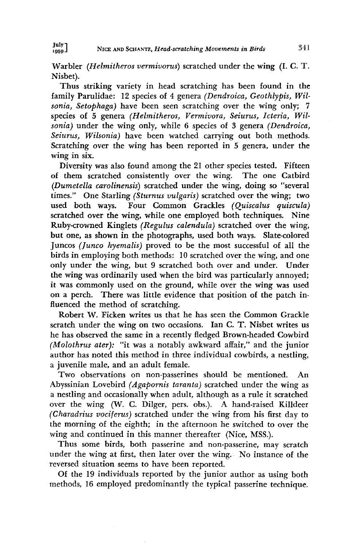**Warbler (Helmitheros vermivorus) scratched under the wing (I. C. T. Nisbet).** 

**Thus striking variety in head scratching has been found in the family Parulidae: 12 species of 4 genera (Dendroica, Geothlypis, Wilsonia, \$etophaga) have been seen scratching over the wing only; 7 species of 5 genera (Helmitheros, Vermivora, Seiurus, Icteria, Wilsonia) under the wing only, while 6 species of \$ genera (Dendroica, \$eiurus, Wilsonia) have been watched carrying out both methods. Scratching over the wing has been reported in 5 genera, under the wing in six.** 

**Diversity was also found among the 21 other species tested. Fifteen of them scratched consistently over the wing. The one Catbird (Dumetella carolinensis) scratched under the wing, doing so "several**  times." One Starling (Sturnus vulgaris) scratched over the wing; two used both ways. Four Common Grackles (Quiscalus quiscula) Four Common Grackles (Quiscalus quiscula) **scratched over the wing, while one employed both techniques. Nine Ruby-crowned Kinglets (Regulus calendula) scratched over the wing, but one, as shown in the photographs, used both ways. Slate-colored Juncos (Junco hyemalis) proved to be the most successful of all the birds in employing both methods: 10 scratched over the wing, and one only under the wing, but 9 scratched both over and under. Under the wing was ordinarily used when the bird was particularly annoyed; it was commonly used on the ground, while over the wing was used on a perch. There was little evidence that position of the patch influenced the method of scratching.** 

**Robert W. Ficken writes us that he has seen the Common Grackle scratch under the wing on two occasions. Ian C. T. Nisbet writes us he has observed the same in a recently fledged Brown-headed Cowbird (Molothrus ater): "it was a notably awkward affair," and the junior author has noted this method in three individual cowbirds, a nestling, a juvenile male, and an adult female.** 

Two observations on non-passerines should be mentioned. An **Abyssinian Lovebird (Agapornis taranta) scratched under the wing as a nestling and occasionally when adult, although as a rule it scratched over the wing (W. C. Dilger, pers. obs.). A hand-raised Killdeer (Charadrius vociferus) scratched under the wing from his first day to the morning of the eighth; in the afternoon he switched to over the wing and continued in this manner thereafter (Nice, MSS.).** 

**Thus some birds, both passefine and non-passerine, may scratch under the wing at first, then later over the wing.• No instance of the reversed situation seems to have been reported.** 

**Of the 19 individuals reported by the junior author as using both methods, 16 employed predominantly the typical passerine tchnique.**